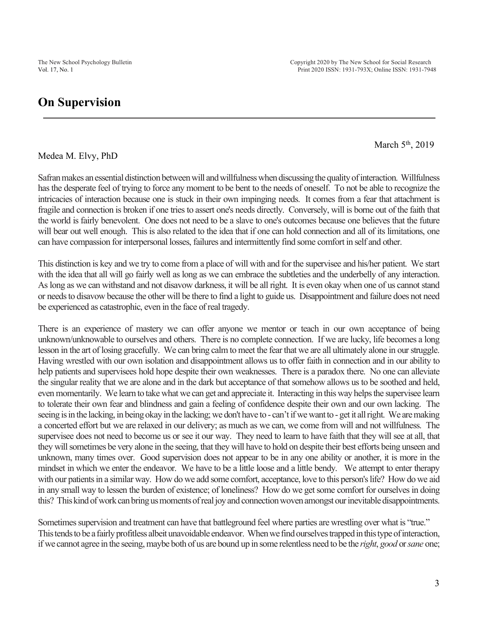March 5<sup>th</sup>, 2019

Medea M. Elvy, PhD

Safran makes an essential distinction between will and willfulness when discussing the quality of interaction. Willfulness has the desperate feel of trying to force any moment to be bent to the needs of oneself. To not be able to recognize the intricacies of interaction because one is stuck in their own impinging needs. It comes from a fear that attachment is fragile and connection is broken if one tries to assert one's needs directly. Conversely, will is borne out of the faith that the world is fairly benevolent. One does not need to be a slave to one's outcomes because one believes that the future will bear out well enough. This is also related to the idea that if one can hold connection and all of its limitations, one can have compassion for interpersonal losses, failures and intermittently find some comfort in self and other.

This distinction is key and we try to come from a place of will with and for the supervisee and his/her patient. We start with the idea that all will go fairly well as long as we can embrace the subtleties and the underbelly of any interaction. As long as we can withstand and not disavow darkness, it will be all right. It is even okay when one of us cannot stand or needs to disavow because the other will be there to find a light to guide us. Disappointment and failure does not need be experienced as catastrophic, even in the face of real tragedy.

There is an experience of mastery we can offer anyone we mentor or teach in our own acceptance of being unknown/unknowable to ourselves and others. There is no complete connection. If we are lucky, life becomes a long lesson in the art of losing gracefully. We can bring calm to meet the fear that we are all ultimately alone in our struggle. Having wrestled with our own isolation and disappointment allows us to offer faith in connection and in our ability to help patients and supervisees hold hope despite their own weaknesses. There is a paradox there. No one can alleviate the singular reality that we are alone and in the dark but acceptance of that somehow allows us to be soothed and held, even momentarily. We learn to take what we can get and appreciate it. Interacting in this way helps the supervisee learn to tolerate their own fear and blindness and gain a feeling of confidence despite their own and our own lacking. The seeing is in the lacking, in being okay in the lacking; we don't have to - can't if we want to - get it all right. We are making a concerted effort but we are relaxed in our delivery; as much as we can, we come from will and not willfulness. The supervisee does not need to become us or see it our way. They need to learn to have faith that they will see at all, that they will sometimes be very alone in the seeing, that they will have to hold on despite their best efforts being unseen and unknown, many times over. Good supervision does not appear to be in any one ability or another, it is more in the mindset in which we enter the endeavor. We have to be a little loose and a little bendy. We attempt to enter therapy with our patients in a similar way. How do we add some comfort, acceptance, love to this person's life? How do we aid in any small way to lessen the burden of existence; of loneliness? How do we get some comfort for ourselves in doing this? This kind of work can bring us moments of real joy and connection woven amongst our inevitable disappointments.

Sometimes supervision and treatment can have that battleground feel where parties are wrestling over what is "true." This tends to be a fairly profitless albeit unavoidable endeavor. When we find ourselves trapped in this type of interaction, if we cannot agree in the seeing, maybe both of us are bound up in some relentless need to be the *right*, *good* or *sane* one;